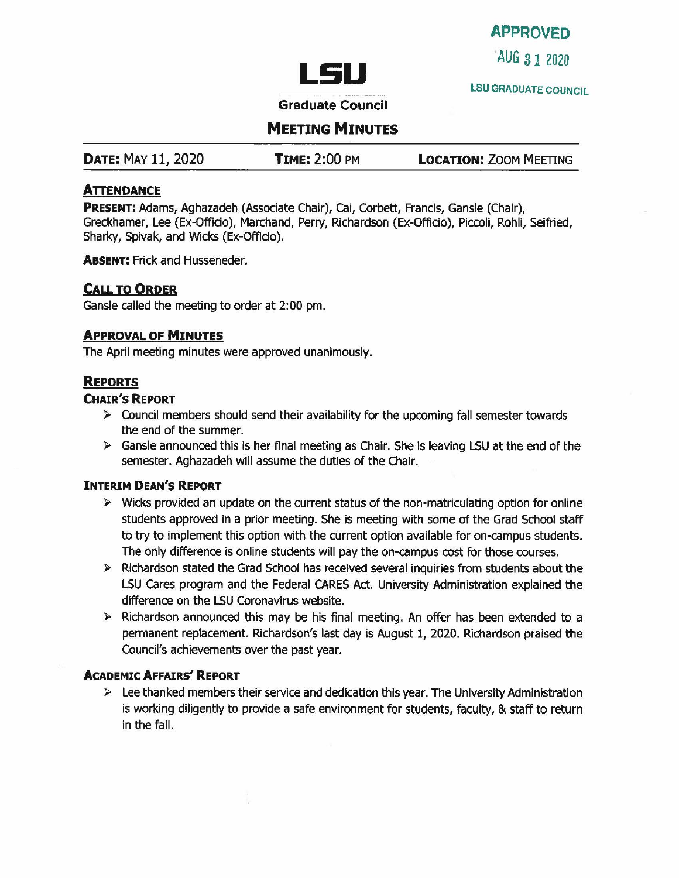# APPROVED

**LSU 2020 LSU 2020** 

**LSU** GRADUATE COUNCIL

Graduate Council

**MEETING MINUTES** 

| <b>DATE: MAY 11, 2020</b> | <b>TIME: 2:00 PM</b> | <b>LOCATION: ZOOM MEETING</b> |
|---------------------------|----------------------|-------------------------------|
|---------------------------|----------------------|-------------------------------|

## **ATTENDANCE**

**PRESENT:** Adams, Aghazadeh {Associate Chair), Cai, Corbett, Francis, Gansle (Chair), Greckhamer, Lee (Ex-Officio), Marchand, Perry, Richardson (Ex-Officio), Piccoli, Rohli, Seifried, Sharky, Spivak, and Wicks (Ex-Officio).

**ABSENT:** Frick and Husseneder.

## **CALL TO ORDER**

Gansle called the meeting to order at 2:00 pm.

## **APPROVAL OF MINUTES**

The April meeting minutes were approved unanimously.

## **REPORTS**

## **CHAIR'S REPORT**

- $\triangleright$  Council members should send their availability for the upcoming fall semester towards the end of the summer.
- $\triangleright$  Gansle announced this is her final meeting as Chair. She is leaving LSU at the end of the semester. Aghazadeh will assume the duties of the Chair.

#### **INTERIM DEAN'S REPORT**

- $\triangleright$  Wicks provided an update on the current status of the non-matriculating option for online students approved in a prior meeting. She is meeting with some of the Grad School staff to try to implement this option with the current option available for on-campus students. The only difference is online students will pay the on-campus cost for those courses.
- $\triangleright$  Richardson stated the Grad School has received several inquiries from students about the LSU Cares program and the Federal CARES Act. University Administration explained the difference on the LSU Coronavirus website.
- $\triangleright$  Richardson announced this may be his final meeting. An offer has been extended to a permanent replacement. Richardson's last day is August 1, 2020. Richardson praised the Council's achievements over the past year.

#### **ACADEMIC AFFAIRS' REPORT**

 $\triangleright$  Lee thanked members their service and dedication this year. The University Administration is working diligently to provide a safe environment for students, faculty, & staff to return in the fall.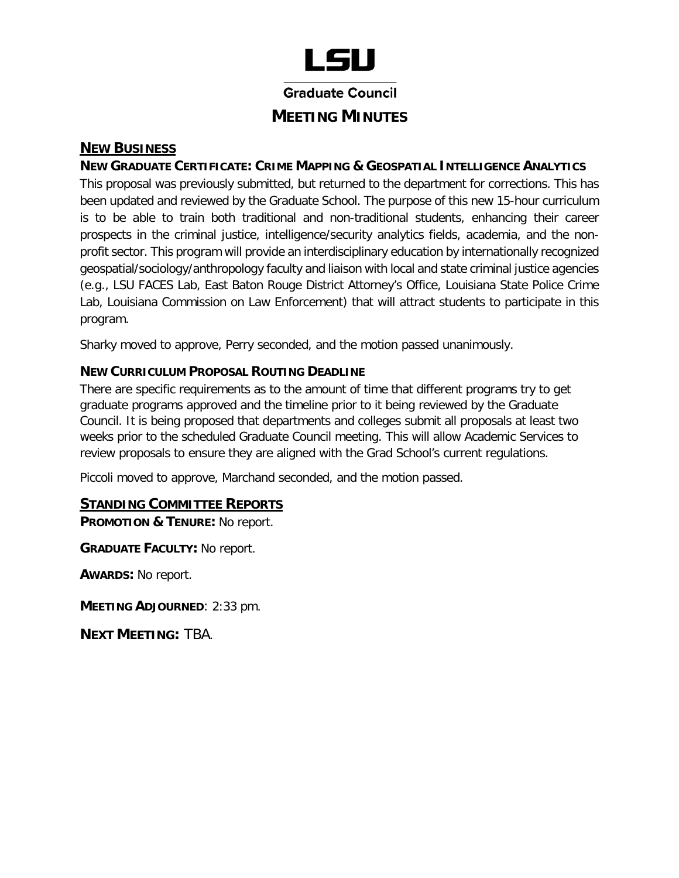

Graduate Council

# **MEETING MINUTES**

## **NEW BUSINESS**

## **NEW GRADUATE CERTIFICATE: CRIME MAPPING & GEOSPATIAL INTELLIGENCE ANALYTICS**

 This proposal was previously submitted, but returned to the department for corrections. This has is to be able to train both traditional and non-traditional students, enhancing their career prospects in the criminal justice, intelligence/security analytics fields, academia, and the non- geospatial/sociology/anthropology faculty and liaison with local and state criminal justice agencies Lab, Louisiana Commission on Law Enforcement) that will attract students to participate in this been updated and reviewed by the Graduate School. The purpose of this new 15-hour curriculum profit sector. This program will provide an interdisciplinary education by internationally recognized (e.g., LSU FACES Lab, East Baton Rouge District Attorney's Office, Louisiana State Police Crime program.

Sharky moved to approve, Perry seconded, and the motion passed unanimously.

## **NEW CURRICULUM PROPOSAL ROUTING DEADLINE**

 There are specific requirements as to the amount of time that different programs try to get graduate programs approved and the timeline prior to it being reviewed by the Graduate Council. It is being proposed that departments and colleges submit all proposals at least two weeks prior to the scheduled Graduate Council meeting. This will allow Academic Services to review proposals to ensure they are aligned with the Grad School's current regulations.

Piccoli moved to approve, Marchand seconded, and the motion passed.

## **STANDING COMMITTEE REPORTS**

 **PROMOTION & TENURE:** No report.

**GRADUATE FACULTY:** No report.

**AWARDS:** No report.

**MEETING ADJOURNED**: 2:33 pm.

**NEXT MEETING:** TBA.